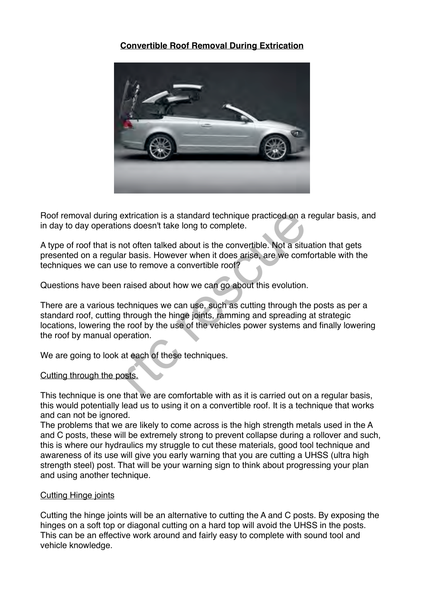# **Convertible Roof Removal During Extrication**



Roof removal during extrication is a standard technique practiced on a regular basis, and in day to day operations doesn't take long to complete.

A type of roof that is not often talked about is the convertible. Not a situation that gets presented on a regular basis. However when it does arise, are we comfortable with the techniques we can use to remove a convertible roof?

Questions have been raised about how we can go about this evolution.

There are a various techniques we can use, such as cutting through the posts as per a standard roof, cutting through the hinge joints, ramming and spreading at strategic locations, lowering the roof by the use of the vehicles power systems and finally lowering the roof by manual operation. extrication is a standard technique practiced on a<br>ns doesn't take long to complete.<br>to offer talked about is the convertible. Not a siture<br>in basis. However when it does arise, are we comme<br>to remove a convertible roof?<br>r

We are going to look at each of these techniques.

## Cutting through the posts.

This technique is one that we are comfortable with as it is carried out on a regular basis, this would potentially lead us to using it on a convertible roof. It is a technique that works and can not be ignored.

The problems that we are likely to come across is the high strength metals used in the A and C posts, these will be extremely strong to prevent collapse during a rollover and such, this is where our hydraulics my struggle to cut these materials, good tool technique and awareness of its use will give you early warning that you are cutting a UHSS (ultra high strength steel) post. That will be your warning sign to think about progressing your plan and using another technique.

## Cutting Hinge joints

Cutting the hinge joints will be an alternative to cutting the A and C posts. By exposing the hinges on a soft top or diagonal cutting on a hard top will avoid the UHSS in the posts. This can be an effective work around and fairly easy to complete with sound tool and vehicle knowledge.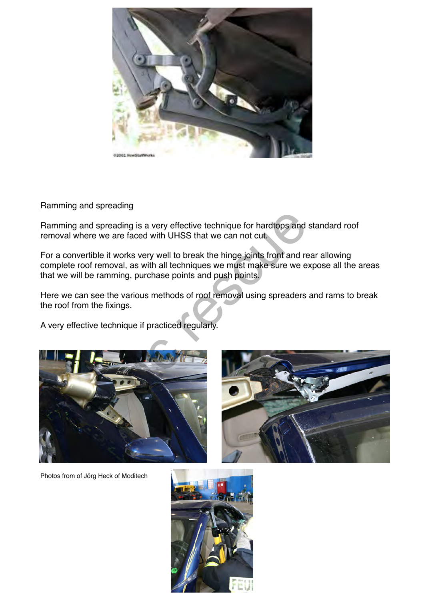

## Ramming and spreading

Ramming and spreading is a very effective technique for hardtops and standard roof removal where we are faced with UHSS that we can not cut.

For a convertible it works very well to break the hinge joints front and rear allowing complete roof removal, as with all techniques we must make sure we expose all the areas that we will be ramming, purchase points and push points. ing is a very effective technique for hardtops and<br>
e faced with UHSS that we can not cut.<br>
orks very well to break the hinge joints front and re<br>
I, as with all techniques we must make sure we e.<br>
ng, purchase points and

Here we can see the various methods of roof removal using spreaders and rams to break the roof from the fixings.

A very effective technique if practiced regularly.





Photos from of Jörg Heck of Moditech

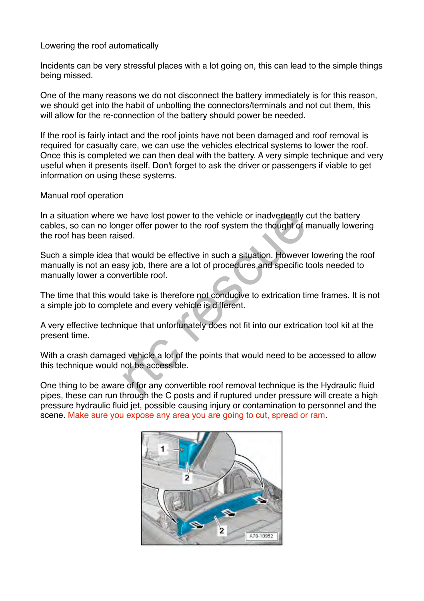## Lowering the roof automatically

Incidents can be very stressful places with a lot going on, this can lead to the simple things being missed.

One of the many reasons we do not disconnect the battery immediately is for this reason, we should get into the habit of unbolting the connectors/terminals and not cut them, this will allow for the re-connection of the battery should power be needed.

If the roof is fairly intact and the roof joints have not been damaged and roof removal is required for casualty care, we can use the vehicles electrical systems to lower the roof. Once this is completed we can then deal with the battery. A very simple technique and very useful when it presents itself. Don't forget to ask the driver or passengers if viable to get information on using these systems.

## Manual roof operation

In a situation where we have lost power to the vehicle or inadvertently cut the battery cables, so can no longer offer power to the roof system the thought of manually lowering the roof has been raised.

Such a simple idea that would be effective in such a situation. However lowering the roof manually is not an easy job, there are a lot of procedures and specific tools needed to manually lower a convertible roof. re have lost power to the vehicle or inadvertently of the roof system the thought of red.<br>
at would be effective in such a situation. However<br>
sy job, there are a lot of procedures and specific to<br>
vertible roof.<br>
Ild take

The time that this would take is therefore not conducive to extrication time frames. It is not a simple job to complete and every vehicle is different.

A very effective technique that unfortunately does not fit into our extrication tool kit at the present time.

With a crash damaged vehicle a lot of the points that would need to be accessed to allow this technique would not be accessible.

One thing to be aware of for any convertible roof removal technique is the Hydraulic fluid pipes, these can run through the C posts and if ruptured under pressure will create a high pressure hydraulic fluid jet, possible causing injury or contamination to personnel and the scene. Make sure you expose any area you are going to cut, spread or ram.